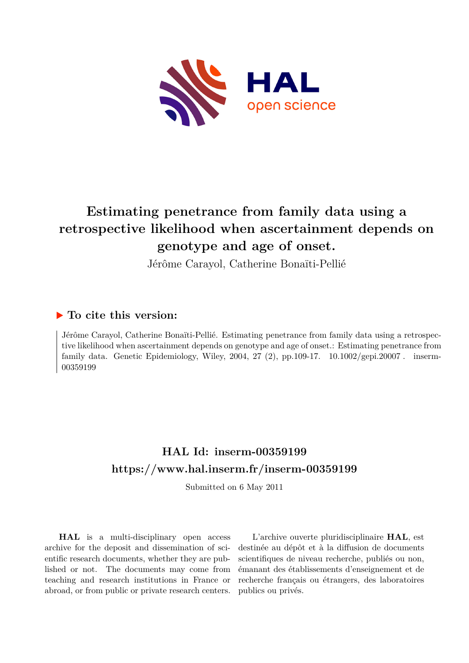

# **Estimating penetrance from family data using a retrospective likelihood when ascertainment depends on genotype and age of onset.**

Jérôme Carayol, Catherine Bonaïti-Pellié

# **To cite this version:**

Jérôme Carayol, Catherine Bonaïti-Pellié. Estimating penetrance from family data using a retrospective likelihood when ascertainment depends on genotype and age of onset.: Estimating penetrance from family data. Genetic Epidemiology, Wiley, 2004, 27 (2), pp.109-17.  $10.1002/\text{gepi}.20007$ . inserm-00359199ff

# **HAL Id: inserm-00359199 <https://www.hal.inserm.fr/inserm-00359199>**

Submitted on 6 May 2011

**HAL** is a multi-disciplinary open access archive for the deposit and dissemination of scientific research documents, whether they are published or not. The documents may come from teaching and research institutions in France or abroad, or from public or private research centers.

L'archive ouverte pluridisciplinaire **HAL**, est destinée au dépôt et à la diffusion de documents scientifiques de niveau recherche, publiés ou non, émanant des établissements d'enseignement et de recherche français ou étrangers, des laboratoires publics ou privés.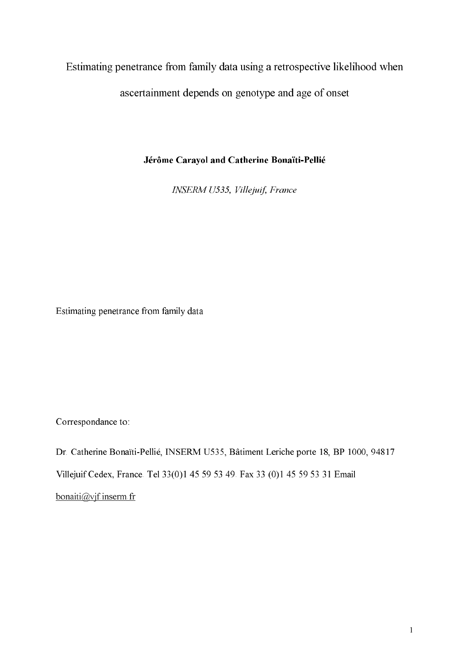Estimating penetrance from family data using a retrospective likelihood when

ascertainment depends on genotype and age of onset

Jérôme Carayol and Catherine Bonaïti-Pellié

**INSERM U535, Villejuif, France** 

Estimating penetrance from family data

Correspondance to:

Dr. Catherine Bonaïti-Pellié, INSERM U535, Bâtiment Leriche porte 18, BP 1000, 94817 Villejuif Cedex, France. Tel 33(0)1 45 59 53 49. Fax 33 (0)1 45 59 53 31 Email  $bonaiti@vif.insertnf$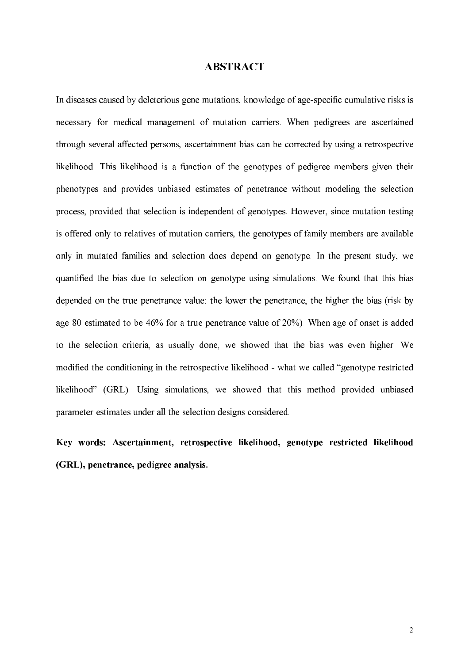# **ABSTRACT**

In diseases caused by deleterious gene mutations, knowledge of age-specific cumulative risks is necessary for medical management of mutation carriers. When pedigrees are ascertained through several affected persons, ascertainment bias can be corrected by using a retrospective likelihood. This likelihood is a function of the genotypes of pedigree members given their phenotypes and provides unbiased estimates of penetrance without modeling the selection process, provided that selection is independent of genotypes. However, since mutation testing is offered only to relatives of mutation carriers, the genotypes of family members are available only in mutated families and selection does depend on genotype. In the present study, we quantified the bias due to selection on genotype using simulations. We found that this bias depended on the true penetrance value: the lower the penetrance, the higher the bias (risk by age 80 estimated to be 46% for a true penetrance value of 20%). When age of onset is added to the selection criteria, as usually done, we showed that the bias was even higher. We modified the conditioning in the retrospective likelihood - what we called "genotype restricted" likelihood" (GRL). Using simulations, we showed that this method provided unbiased parameter estimates under all the selection designs considered.

Key words: Ascertainment, retrospective likelihood, genotype restricted likelihood (GRL), penetrance, pedigree analysis.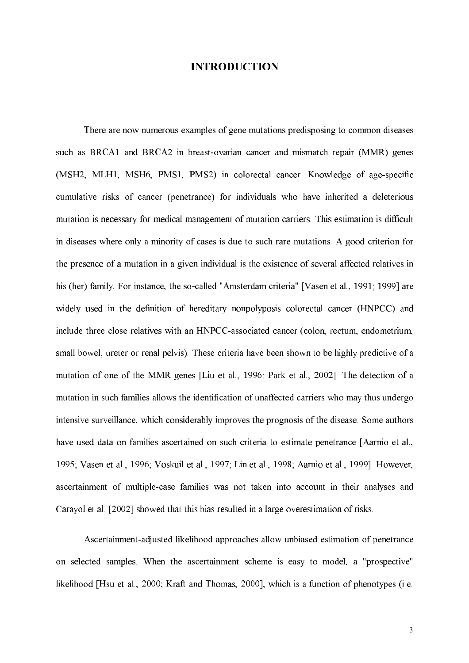# **INTRODUCTION**

There are now numerous examples of gene mutations predisposing to common diseases such as BRCA1 and BRCA2 in breast-ovarian cancer and mismatch repair (MMR) genes (MSH2, MLH1, MSH6, PMS1, PMS2) in colorectal cancer. Knowledge of age-specific cumulative risks of cancer (penetrance) for individuals who have inherited a deleterious mutation is necessary for medical management of mutation carriers. This estimation is difficult in diseases where only a minority of cases is due to such rare mutations. A good criterion for the presence of a mutation in a given individual is the existence of several affected relatives in his (her) family. For instance, the so-called "Amsterdam criteria" [Vasen et al., 1991; 1999] are widely used in the definition of hereditary nonpolyposis colorectal cancer (HNPCC) and include three close relatives with an HNPCC-associated cancer (colon, rectum, endometrium, small bowel, ureter or renal pelvis). These criteria have been shown to be highly predictive of a mutation of one of the MMR genes [Liu et al., 1996: Park et al., 2002]. The detection of a mutation in such families allows the identification of unaffected carriers who may thus undergo intensive surveillance, which considerably improves the prognosis of the disease. Some authors have used data on families ascertained on such criteria to estimate penetrance [Aarnio et al., 1995; Vasen et al., 1996; Voskuil et al., 1997; Lin et al., 1998; Aarnio et al., 1999]. However, ascertainment of multiple-case families was not taken into account in their analyses and Carayol et al. [2002] showed that this bias resulted in a large overestimation of risks.

Ascertainment-adjusted likelihood approaches allow unbiased estimation of penetrance on selected samples. When the ascertainment scheme is easy to model, a "prospective" likelihood [Hsu et al., 2000; Kraft and Thomas, 2000], which is a function of phenotypes (i.e.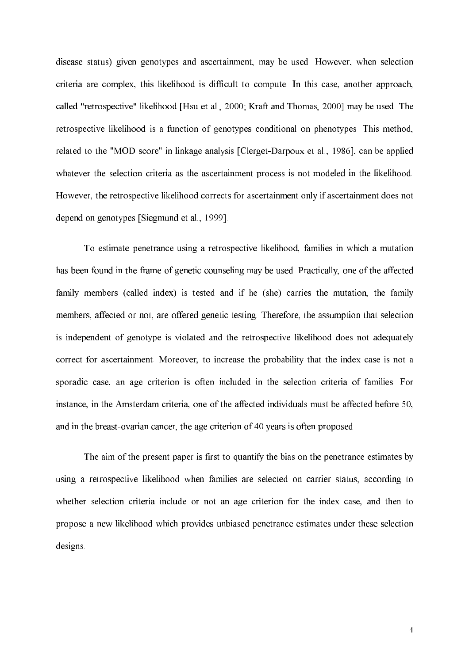disease status) given genotypes and ascertainment, may be used. However, when selection criteria are complex, this likelihood is difficult to compute. In this case, another approach, called "retrospective" likelihood [Hsu et al., 2000; Kraft and Thomas, 2000] may be used. The retrospective likelihood is a function of genotypes conditional on phenotypes. This method, related to the "MOD score" in linkage analysis [Clerget-Darpoux et al., 1986], can be applied whatever the selection criteria as the ascertainment process is not modeled in the likelihood. However, the retrospective likelihood corrects for ascertainment only if ascertainment does not depend on genotypes [Siegmund et al., 1999].

To estimate penetrance using a retrospective likelihood, families in which a mutation has been found in the frame of genetic counseling may be used. Practically, one of the affected family members (called index) is tested and if he (she) carries the mutation, the family members, affected or not, are offered genetic testing. Therefore, the assumption that selection is independent of genotype is violated and the retrospective likelihood does not adequately correct for ascertainment. Moreover, to increase the probability that the index case is not a sporadic case, an age criterion is often included in the selection criteria of families. For instance, in the Amsterdam criteria, one of the affected individuals must be affected before 50, and in the breast-ovarian cancer, the age criterion of 40 years is often proposed.

The aim of the present paper is first to quantify the bias on the penetrance estimates by using a retrospective likelihood when families are selected on carrier status, according to whether selection criteria include or not an age criterion for the index case, and then to propose a new likelihood which provides unbiased penetrance estimates under these selection designs.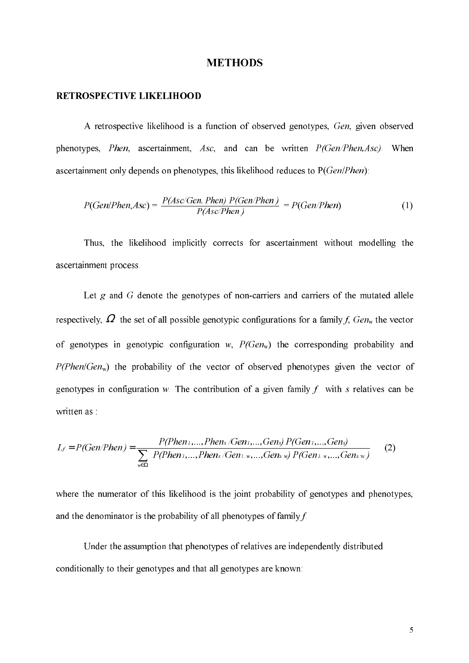#### **METHODS**

#### **RETROSPECTIVE LIKELIHOOD**

A retrospective likelihood is a function of observed genotypes, Gen, given observed phenotypes, *Phen*, ascertainment, Asc, and can be written *P*(Gen/Phen, Asc). When ascertainment only depends on phenotypes, this likelihood reduces to  $P(Gen/Phen)$ :

$$
P(Gen/Phen,Asc) = \frac{P(Asc/Gen, Phen) P(Gen/Phen)}{P(Asc/Phen)} = P(Gen/Phen)
$$
 (1)

Thus, the likelihood implicitly corrects for ascertainment without modelling the ascertainment process.

Let  $g$  and  $G$  denote the genotypes of non-carriers and carriers of the mutated allele respectively,  $\Omega$  the set of all possible genotypic configurations for a family f,  $Gen_w$  the vector of genotypes in genotypic configuration w,  $P(Gen_w)$  the corresponding probability and  $P(Phen/Gen_w)$  the probability of the vector of observed phenotypes given the vector of genotypes in configuration w. The contribution of a given family f with s relatives can be written as:

$$
L_f = P(Gen/Phen) = \frac{P(Phen_1, ..., Phen_s/Gen_1, ..., Gen_s) P(Gen_1, ..., Gen_s)}{\sum_{w \in \Omega} P(Phen_1, ..., Phen_s/Gen_1, w, ..., Gen_s w) P(Gen_1, w, ..., Gen_s w)}
$$
(2)

where the numerator of this likelihood is the joint probability of genotypes and phenotypes, and the denominator is the probability of all phenotypes of family  $f$ .

Under the assumption that phenotypes of relatives are independently distributed conditionally to their genotypes and that all genotypes are known: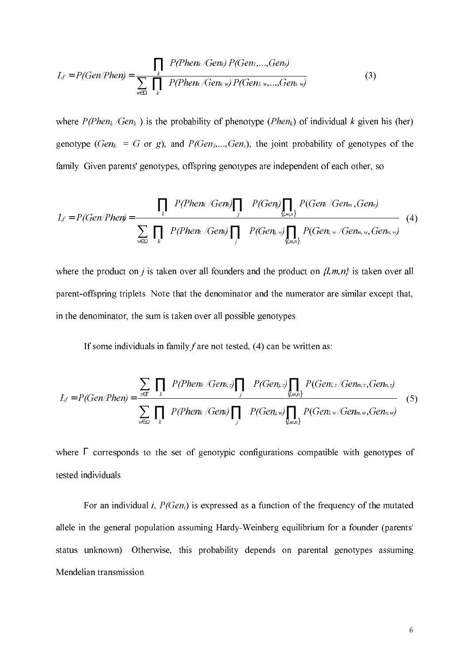$$
L_f = P(Gen/Phen) = \frac{\prod_k P(Phen_k/Gen_k) P(Gen_1, ..., Gen_s)}{\sum_{w \in \Omega} \prod_k P(Phen_k/Gen_k w) P(Gen_1, w, ..., Gen_s w)}
$$
(3)

where  $P(Phen_k/Gen_k)$  is the probability of phenotype (*Phen<sub>k</sub>*) of individual k given his (her) genotype ( $Gen_k = G$  or g), and  $P(Gen_l, ..., Gen_s)$ , the joint probability of genotypes of the family. Given parents' genotypes, offspring genotypes are independent of each other, so

$$
L_f = P(Gen/Phen) = \frac{\prod_k P(Phen_k / Gen) \prod_j P(Gen) \prod_{\{lm,n\}} P(Gen_l / Gen_m, Gen_m)}{\sum_{w \in \mathcal{Q}} \prod_k P(Phen_k / Gen_k) \prod_j P(Gen_k w) \prod_{\{lm,n\}} P(Gen_k w / Gen_m w, Gen_m w)}
$$
(4)

where the product on *j* is taken over all founders and the product on  $\{l,m,n\}$  is taken over all parent-offspring triplets. Note that the denominator and the numerator are similar except that, in the denominator, the sum is taken over all possible genotypes.

If some individuals in family  $f$  are not tested, (4) can be written as:

$$
L_f = P(Gen/Phen) = \frac{\sum_{z \in \Gamma} \prod_k P(Phen_k / Gen_{k,z}) \prod_j P(Gen_{j,z}) \prod_{\{lm,n\}} P(Gen_{l,z} / Gen_{m,z}, Gen_{n,z})}{\sum_{w \in \mathcal{Q}} \prod_k P(Phen_k / Gen_k) \prod_j P(Gen_{j,w}) \prod_{\{lm,n\}} P(Gen_{l,w} / Gen_{m,w}, Gen_{n,w})}
$$
(5)

where  $\Gamma$  corresponds to the set of genotypic configurations compatible with genotypes of tested individuals.

For an individual i,  $P(Gen_i)$  is expressed as a function of the frequency of the mutated allele in the general population assuming Hardy-Weinberg equilibrium for a founder (parents' status unknown). Otherwise, this probability depends on parental genotypes assuming Mendelian transmission.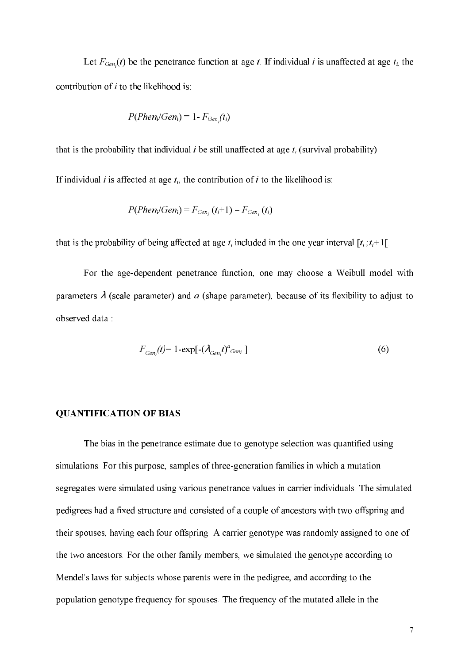Let  $F_{Gen}(t)$  be the penetrance function at age t. If individual i is unaffected at age  $t_i$ , the contribution of  $i$  to the likelihood is:

$$
P(Phen_i/Gen_i) = 1 - F_{Gen_i}(t_i)
$$

that is the probability that individual *i* be still unaffected at age  $t_i$  (survival probability).

If individual *i* is affected at age  $t_i$ , the contribution of *i* to the likelihood is:

$$
P(Phen_i/Gen_i) = F_{Gen_i}(t_i+1) - F_{Gen_i}(t_i)
$$

that is the probability of being affected at age  $t_i$  included in the one year interval  $[t_i, t_{i+1}]$ .

For the age-dependent penetrance function, one may choose a Weibull model with parameters  $\lambda$  (scale parameter) and  $\alpha$  (shape parameter), because of its flexibility to adjust to observed data:

$$
F_{Gen_i}(t) = 1 - \exp[-(\lambda_{Gen_i}t)^a_{Gen_i}]
$$
\n(6)

#### **QUANTIFICATION OF BIAS**

The bias in the penetrance estimate due to genotype selection was quantified using simulations. For this purpose, samples of three-generation families in which a mutation segregates were simulated using various penetrance values in carrier individuals. The simulated pedigrees had a fixed structure and consisted of a couple of ancestors with two offspring and their spouses, having each four offspring. A carrier genotype was randomly assigned to one of the two ancestors. For the other family members, we simulated the genotype according to Mendel's laws for subjects whose parents were in the pedigree, and according to the population genotype frequency for spouses. The frequency of the mutated allele in the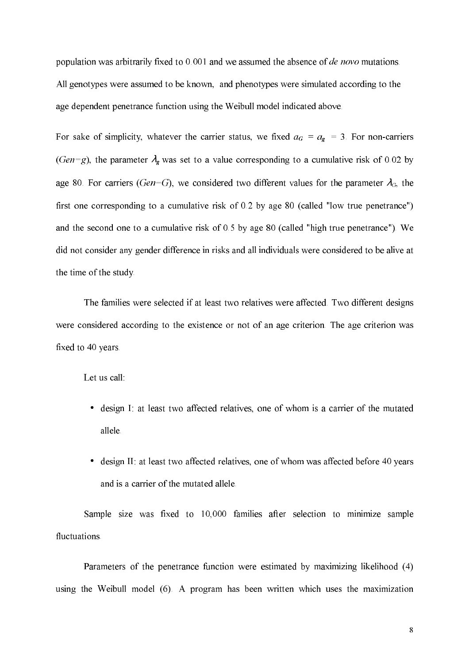population was arbitrarily fixed to 0.001 and we assumed the absence of *de novo* mutations. All genotypes were assumed to be known, and phenotypes were simulated according to the age dependent penetrance function using the Weibull model indicated above.

For sake of simplicity, whatever the carrier status, we fixed  $a_G = a_g = 3$ . For non-carriers (Gen=g), the parameter  $\lambda_{g}$  was set to a value corresponding to a cumulative risk of 0.02 by age 80. For carriers (Gen=G), we considered two different values for the parameter  $\lambda_G$ , the first one corresponding to a cumulative risk of 0.2 by age 80 (called "low true penetrance") and the second one to a cumulative risk of 0.5 by age 80 (called "high true penetrance"). We did not consider any gender difference in risks and all individuals were considered to be alive at the time of the study.

The families were selected if at least two relatives were affected. Two different designs were considered according to the existence or not of an age criterion. The age criterion was fixed to 40 years.

Let us call:

- design I: at least two affected relatives, one of whom is a carrier of the mutated allele.
- design II: at least two affected relatives, one of whom was affected before 40 years and is a carrier of the mutated allele.

Sample size was fixed to 10,000 families after selection to minimize sample fluctuations.

Parameters of the penetrance function were estimated by maximizing likelihood (4) using the Weibull model (6). A program has been written which uses the maximization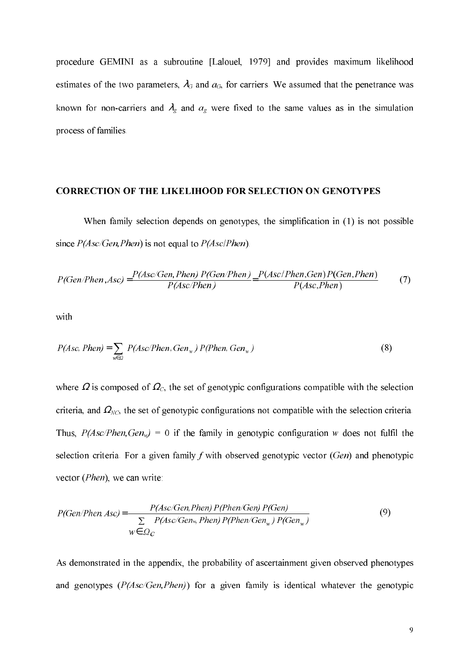procedure GEMINI as a subroutine [Lalouel, 1979] and provides maximum likelihood estimates of the two parameters,  $\lambda_G$  and  $a_G$ , for carriers. We assumed that the penetrance was known for non-carriers and  $\lambda_g$  and  $a_g$  were fixed to the same values as in the simulation process of families.

#### **CORRECTION OF THE LIKELIHOOD FOR SELECTION ON GENOTYPES**

When family selection depends on genotypes, the simplification in (1) is not possible since  $P(Asc/Gen, Phen)$  is not equal to  $P(Asc/Then)$ .

$$
P(Gen/Phen,Asc) = \frac{P(Asc/Gen, Phen) P(Gen/Phen)}{P(Asc/Phen)} = \frac{P(Asc/Phen, Gen) P(Gen, Phen)}{P(Asc/Phen)} \tag{7}
$$

with

$$
P(Asc, Phen) = \sum_{w \in \Omega} P(Asc/Phen, Gen_w) P(Phen, Gen_w)
$$
\n(8)

where  $\Omega$  is composed of  $\Omega_c$ , the set of genotypic configurations compatible with the selection criteria, and  $\Omega_{NC}$ , the set of genotypic configurations not compatible with the selection criteria. Thus,  $P(Asc/Phen, Gen_w) = 0$  if the family in genotypic configuration w does not fulfil the selection criteria. For a given family  $f$  with observed genotypic vector  $(Gen)$  and phenotypic vector (*Phen*), we can write:

$$
P(Gen/Phen,Asc) = \frac{P(Asc/Gen,Phen) P(Phen/Gen) P(Gen)}{\sum_{w \in \Omega_C} P(Asc/Gen_w,Phen) P(Phen/Gen_w) P(Gen_w)}
$$
(9)

As demonstrated in the appendix, the probability of ascertainment given observed phenotypes and genotypes  $(P(Asc/Gen, Phen))$  for a given family is identical whatever the genotypic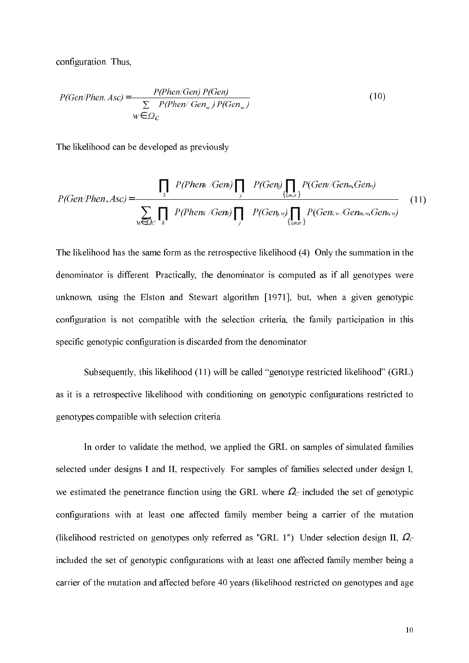configuration. Thus,

$$
P(Gen/Phen, Asc) = \frac{P(Phen/Gen) P(Gen)}{\sum_{w \in \Omega_c} P(Phen/Gen_w) P(Gen_w)}
$$
\n
$$
(10)
$$

The likelihood can be developed as previously

$$
P(Gen/Phen,Asc) = \frac{\prod_{k} P(Phen_{k} / Gen_{k}) \prod_{j} P(Gen_{j}) \prod_{\{l,m,n\}} P(Gen / Gen_{m},Gen_{n})}{\sum_{w \in \mathcal{Q}_{C}} \prod_{k} P(Phen_{k} / Gen_{k}) \prod_{j} P(Gen_{j,w}) \prod_{\{l,m,n\}} P(Gen_{l,w} / Gen_{m,w},Gen_{n,w})}
$$
(11)

The likelihood has the same form as the retrospective likelihood (4). Only the summation in the denominator is different. Practically, the denominator is computed as if all genotypes were unknown, using the Elston and Stewart algorithm [1971], but, when a given genotypic configuration is not compatible with the selection criteria, the family participation in this specific genotypic configuration is discarded from the denominator.

Subsequently, this likelihood (11) will be called "genotype restricted likelihood" (GRL) as it is a retrospective likelihood with conditioning on genotypic configurations restricted to genotypes compatible with selection criteria.

In order to validate the method, we applied the GRL on samples of simulated families selected under designs I and II, respectively. For samples of families selected under design I, we estimated the penetrance function using the GRL where  $\Omega_c$  included the set of genotypic configurations with at least one affected family member being a carrier of the mutation (likelihood restricted on genotypes only referred as "GRL 1"). Under selection design II,  $\Omega_c$ included the set of genotypic configurations with at least one affected family member being a carrier of the mutation and affected before 40 years (likelihood restricted on genotypes and age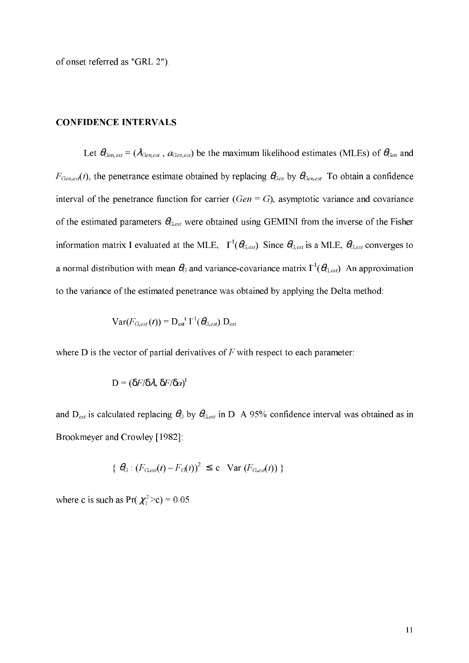of onset referred as "GRL 2").

#### **CONFIDENCE INTERVALS**

Let  $\theta_{Gen,est} = (\lambda_{Gen,est}, a_{Gen,est})$  be the maximum likelihood estimates (MLEs) of  $\theta_{Gen}$  and  $F_{Gen,est}(t)$ , the penetrance estimate obtained by replacing  $\theta_{Gen}$  by  $\theta_{Gen,est}$ . To obtain a confidence interval of the penetrance function for carrier ( $Gen = G$ ), asymptotic variance and covariance of the estimated parameters  $\theta_{G,est}$  were obtained using GEMINI from the inverse of the Fisher information matrix I evaluated at the MLE,  $\Gamma^1(\theta_{G,est})$ . Since  $\theta_{G,est}$  is a MLE,  $\theta_{G,est}$  converges to a normal distribution with mean  $\theta_G$  and variance-covariance matrix  $\Gamma^1(\theta_{G,est})$ . An approximation to the variance of the estimated penetrance was obtained by applying the Delta method:

$$
\text{Var}(F_{G,est}(t)) = \mathbf{D}_{est}^{-1} \mathbf{I}^{-1}(\boldsymbol{\theta}_{G,est}) \mathbf{D}_{est}
$$

where D is the vector of partial derivatives of  $F$  with respect to each parameter:

$$
D = (\delta F / \delta \lambda, \, \delta F / \delta a)^t
$$

and  $D_{est}$  is calculated replacing  $\theta_G$  by  $\theta_{G,est}$  in D. A 95% confidence interval was obtained as in Brookmeyer and Crowley [1982]:

$$
\{ \Theta_G : (F_{G,est}(t) - F_G(t))^2 \leq \mathbf{c} \cdot \text{Var}(F_{G,est}(t)) \}
$$

where c is such as  $Pr(\chi_1^2 > c) = 0.05$ .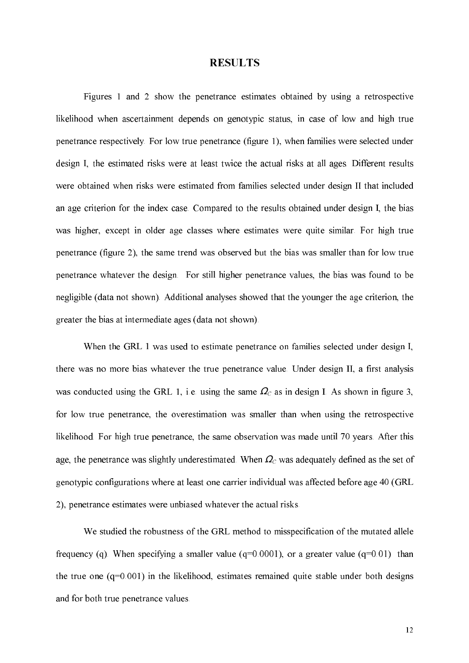## **RESULTS**

Figures 1 and 2 show the penetrance estimates obtained by using a retrospective likelihood when ascertainment depends on genotypic status, in case of low and high true penetrance respectively. For low true penetrance (figure 1), when families were selected under design I, the estimated risks were at least twice the actual risks at all ages. Different results were obtained when risks were estimated from families selected under design II that included an age criterion for the index case. Compared to the results obtained under design I, the bias was higher, except in older age classes where estimates were quite similar. For high true penetrance (figure 2), the same trend was observed but the bias was smaller than for low true penetrance whatever the design. For still higher penetrance values, the bias was found to be negligible (data not shown). Additional analyses showed that the younger the age criterion, the greater the bias at intermediate ages (data not shown).

When the GRL 1 was used to estimate penetrance on families selected under design I, there was no more bias whatever the true penetrance value. Under design II, a first analysis was conducted using the GRL 1, i.e. using the same  $\Omega_c$  as in design I. As shown in figure 3, for low true penetrance, the overestimation was smaller than when using the retrospective likelihood. For high true penetrance, the same observation was made until 70 years. After this age, the penetrance was slightly underestimated. When  $\Omega_c$  was adequately defined as the set of genotypic configurations where at least one carrier individual was affected before age 40 (GRL) 2), penetrance estimates were unbiased whatever the actual risks.

We studied the robustness of the GRL method to misspecification of the mutated allele frequency (q). When specifying a smaller value ( $q=0.0001$ ), or a greater value ( $q=0.01$ ) than the true one  $(q=0.001)$  in the likelihood, estimates remained quite stable under both designs and for both true penetrance values.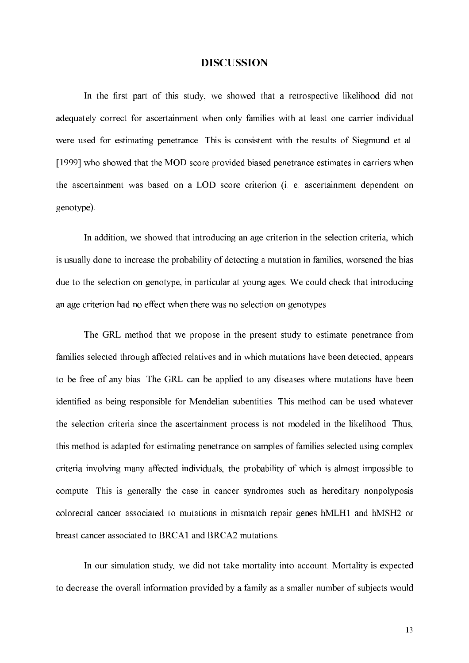#### **DISCUSSION**

In the first part of this study, we showed that a retrospective likelihood did not adequately correct for ascertainment when only families with at least one carrier individual were used for estimating penetrance. This is consistent with the results of Siegmund et al. [1999] who showed that the MOD score provided biased penetrance estimates in carriers when the ascertainment was based on a LOD score criterion (i. e. ascertainment dependent on genotype).

In addition, we showed that introducing an age criterion in the selection criteria, which is usually done to increase the probability of detecting a mutation in families, worsened the bias due to the selection on genotype, in particular at young ages. We could check that introducing an age criterion had no effect when there was no selection on genotypes.

The GRL method that we propose in the present study to estimate penetrance from families selected through affected relatives and in which mutations have been detected, appears to be free of any bias. The GRL can be applied to any diseases where mutations have been identified as being responsible for Mendelian subentities. This method can be used whatever the selection criteria since the ascertainment process is not modeled in the likelihood. Thus, this method is adapted for estimating penetrance on samples of families selected using complex criteria involving many affected individuals, the probability of which is almost impossible to compute. This is generally the case in cancer syndromes such as hereditary nonpolyposis colorectal cancer associated to mutations in mismatch repair genes hMLH1 and hMSH2 or breast cancer associated to BRCA1 and BRCA2 mutations.

In our simulation study, we did not take mortality into account. Mortality is expected to decrease the overall information provided by a family as a smaller number of subjects would

13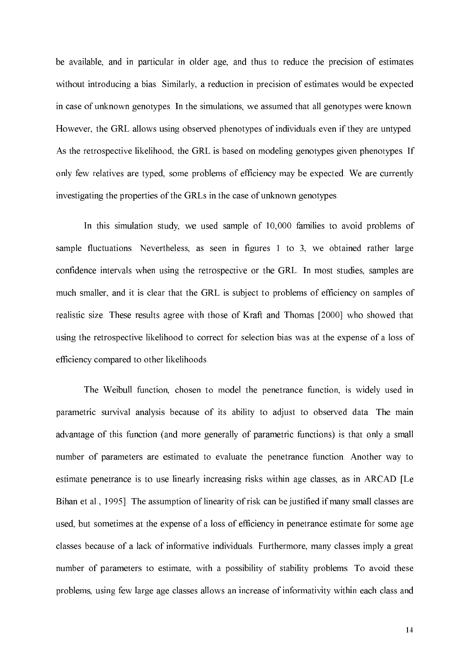be available, and in particular in older age, and thus to reduce the precision of estimates without introducing a bias. Similarly, a reduction in precision of estimates would be expected in case of unknown genotypes. In the simulations, we assumed that all genotypes were known. However, the GRL allows using observed phenotypes of individuals even if they are untyped. As the retrospective likelihood, the GRL is based on modeling genotypes given phenotypes. If only few relatives are typed, some problems of efficiency may be expected. We are currently investigating the properties of the GRLs in the case of unknown genotypes.

In this simulation study, we used sample of 10,000 families to avoid problems of sample fluctuations. Nevertheless, as seen in figures 1 to 3, we obtained rather large confidence intervals when using the retrospective or the GRL. In most studies, samples are much smaller, and it is clear that the GRL is subject to problems of efficiency on samples of realistic size. These results agree with those of Kraft and Thomas [2000] who showed that using the retrospective likelihood to correct for selection bias was at the expense of a loss of efficiency compared to other likelihoods.

The Weibull function, chosen to model the penetrance function, is widely used in parametric survival analysis because of its ability to adjust to observed data. The main advantage of this function (and more generally of parametric functions) is that only a small number of parameters are estimated to evaluate the penetrance function. Another way to estimate penetrance is to use linearly increasing risks within age classes, as in ARCAD [Le Bihan et al., 1995]. The assumption of linearity of risk can be justified if many small classes are used, but sometimes at the expense of a loss of efficiency in penetrance estimate for some age classes because of a lack of informative individuals. Furthermore, many classes imply a great number of parameters to estimate, with a possibility of stability problems. To avoid these problems, using few large age classes allows an increase of informativity within each class and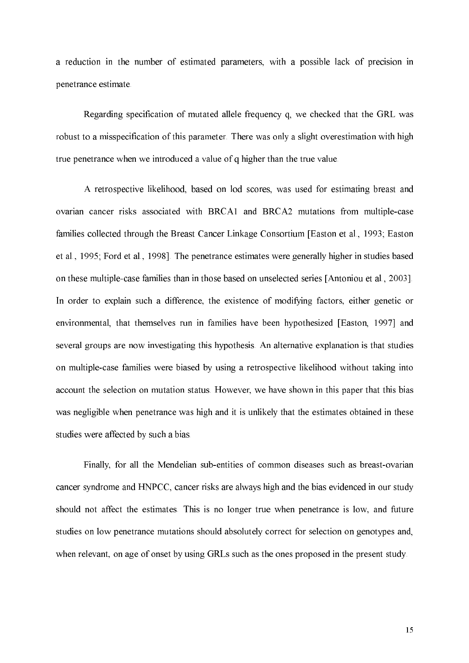a reduction in the number of estimated parameters, with a possible lack of precision in penetrance estimate.

Regarding specification of mutated allele frequency q, we checked that the GRL was robust to a misspecification of this parameter. There was only a slight overestimation with high true penetrance when we introduced a value of q higher than the true value.

A retrospective likelihood, based on lod scores, was used for estimating breast and ovarian cancer risks associated with BRCA1 and BRCA2 mutations from multiple-case families collected through the Breast Cancer Linkage Consortium [Easton et al., 1993; Easton et al., 1995; Ford et al., 1998]. The penetrance estimates were generally higher in studies based on these multiple-case families than in those based on unselected series [Antoniou et al., 2003]. In order to explain such a difference, the existence of modifying factors, either genetic or environmental, that themselves run in families have been hypothesized [Easton, 1997] and several groups are now investigating this hypothesis. An alternative explanation is that studies on multiple-case families were biased by using a retrospective likelihood without taking into account the selection on mutation status. However, we have shown in this paper that this bias was negligible when penetrance was high and it is unlikely that the estimates obtained in these studies were affected by such a bias.

Finally, for all the Mendelian sub-entities of common diseases such as breast-ovarian cancer syndrome and HNPCC, cancer risks are always high and the bias evidenced in our study should not affect the estimates. This is no longer true when penetrance is low, and future studies on low penetrance mutations should absolutely correct for selection on genotypes and, when relevant, on age of onset by using GRLs such as the ones proposed in the present study.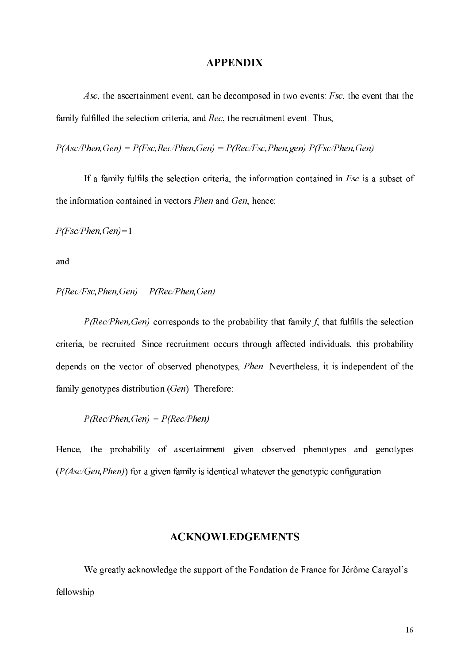## **APPENDIX**

Asc, the ascertainment event, can be decomposed in two events: Fsc, the event that the family fulfilled the selection criteria, and Rec, the recruitment event. Thus,

 $P(Asc/Phen, Gen) = P(Fsc, Rec/Phen, Gen) = P(Rec/Fsc, Phen, gen) P(Fsc/Phen, Gen)$ 

If a family fulfils the selection criteria, the information contained in  $Fsc$  is a subset of the information contained in vectors *Phen* and *Gen*, hence:

 $P(Fsc/Phen, Gen) = 1$ 

and

## $P(Rec/Fsc, Phen, Gen) = P(Rec/Phen, Gen)$

 $P(Rec/Phen, Gen)$  corresponds to the probability that family f, that fulfills the selection criteria, be recruited. Since recruitment occurs through affected individuals, this probability depends on the vector of observed phenotypes, *Phen*. Nevertheless, it is independent of the family genotypes distribution  $(Gen)$ . Therefore:

 $P(Rec/Phen, Gen) = P(Rec/Phen)$ 

Hence, the probability of ascertainment given observed phenotypes and genotypes  $(P(Asc/Gen, Phen))$  for a given family is identical whatever the genotypic configuration.

## **ACKNOWLEDGEMENTS**

We greatly acknowledge the support of the Fondation de France for Jérôme Carayol's fellowship.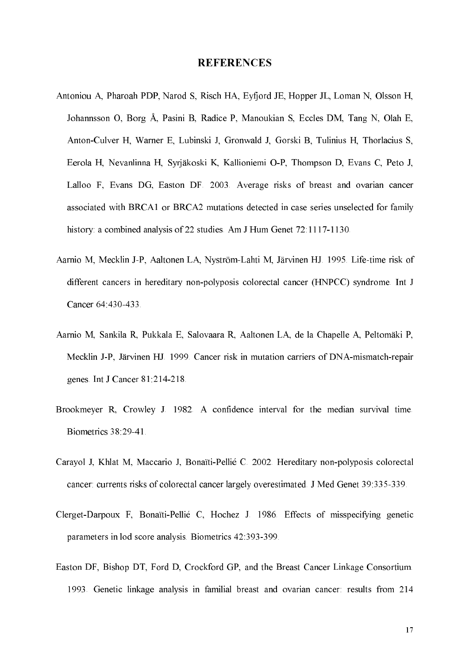#### **REFERENCES**

- Antoniou A, Pharoah PDP, Narod S, Risch HA, Eyfjord JE, Hopper JL, Loman N, Olsson H, Johannsson O, Borg Å, Pasini B, Radice P, Manoukian S, Eccles DM, Tang N, Olah E, Anton-Culver H, Warner E, Lubinski J, Gronwald J, Gorski B, Tulinius H, Thorlacius S, Eerola H, Nevanlinna H, Syrjäkoski K, Kallioniemi O-P, Thompson D, Evans C, Peto J, Lalloo F, Evans DG, Easton DF. 2003. Average risks of breast and ovarian cancer associated with BRCA1 or BRCA2 mutations detected in case series unselected for family history: a combined analysis of 22 studies. Am J Hum Genet 72:1117-1130.
- Aarnio M, Mecklin J-P, Aaltonen LA, Nyström-Lahti M, Järvinen HJ. 1995. Life-time risk of different cancers in hereditary non-polyposis colorectal cancer (HNPCC) syndrome. Int J Cancer 64 430-433
- Aarnio M, Sankila R, Pukkala E, Salovaara R, Aaltonen LA, de la Chapelle A, Peltomäki P, Mecklin J-P, Järvinen HJ. 1999. Cancer risk in mutation carriers of DNA-mismatch-repair genes. Int J Cancer 81:214-218.
- Brookmeyer R, Crowley J. 1982. A confidence interval for the median survival time. Biometrics 38:29-41.
- Carayol J, Khlat M, Maccario J, Bonaïti-Pellié C. 2002. Hereditary non-polyposis colorectal cancer: currents risks of colorectal cancer largely overestimated. J Med Genet 39:335-339.
- Clerget-Darpoux F, Bonaïti-Pellié C, Hochez J. 1986. Effects of misspecifying genetic parameters in lod score analysis. Biometrics 42:393-399.
- Easton DF, Bishop DT, Ford D, Crockford GP, and the Breast Cancer Linkage Consortium. 1993. Genetic linkage analysis in familial breast and ovarian cancer: results from 214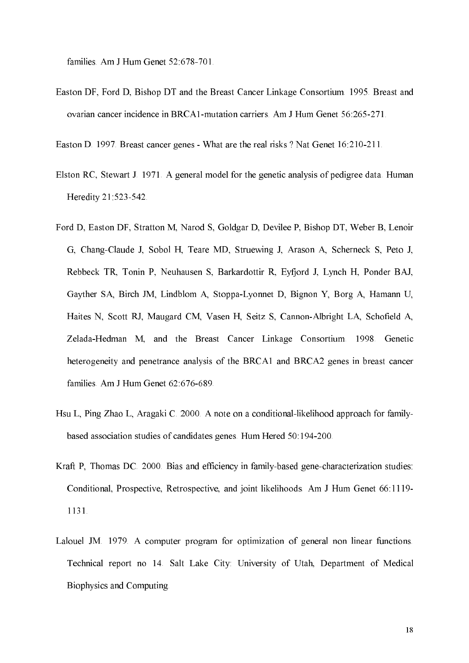families. Am J Hum Genet 52:678-701.

Easton DF, Ford D, Bishop DT and the Breast Cancer Linkage Consortium. 1995. Breast and ovarian cancer incidence in BRCA1-mutation carriers. Am J Hum Genet 56:265-271.

Easton D. 1997. Breast cancer genes - What are the real risks? Nat Genet 16:210-211.

- Elston RC, Stewart J. 1971. A general model for the genetic analysis of pedigree data. Human Heredity 21:523-542.
- Ford D, Easton DF, Stratton M, Narod S, Goldgar D, Devilee P, Bishop DT, Weber B, Lenoir G, Chang-Claude J, Sobol H, Teare MD, Struewing J, Arason A, Scherneck S, Peto J, Rebbeck TR, Tonin P, Neuhausen S, Barkardottir R, Eyfjord J, Lynch H, Ponder BAJ, Gayther SA, Birch JM, Lindblom A, Stoppa-Lyonnet D, Bignon Y, Borg A, Hamann U, Haites N, Scott RJ, Maugard CM, Vasen H, Seitz S, Cannon-Albright LA, Schofield A, Zelada-Hedman M, and the Breast Cancer Linkage Consortium 1998. Genetic heterogeneity and penetrance analysis of the BRCA1 and BRCA2 genes in breast cancer families. Am J Hum Genet 62:676-689.
- Hsu L, Ping Zhao L, Aragaki C. 2000. A note on a conditional-likelihood approach for familybased association studies of candidates genes. Hum Hered 50:194-200.
- Kraft P, Thomas DC. 2000. Bias and efficiency in family-based gene-characterization studies: Conditional, Prospective, Retrospective, and joint likelihoods. Am J Hum Genet 66:1119-1131.
- Lalouel JM. 1979. A computer program for optimization of general non linear functions. Technical report no 14. Salt Lake City: University of Utah, Department of Medical Biophysics and Computing.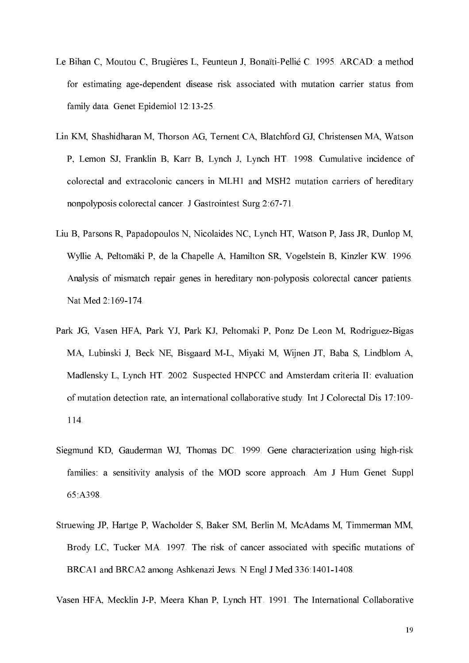- Le Bihan C, Moutou C, Brugières L, Feunteun J, Bonaïti-Pellié C. 1995. ARCAD: a method for estimating age-dependent disease risk associated with mutation carrier status from family data. Genet Epidemiol 12:13-25.
- Lin KM, Shashidharan M, Thorson AG, Ternent CA, Blatchford GJ, Christensen MA, Watson P, Lemon SJ, Franklin B, Karr B, Lynch J, Lynch HT 1998. Cumulative incidence of colorectal and extracolonic cancers in MLH1 and MSH2 mutation carriers of hereditary nonpolyposis colorectal cancer. J Gastrointest Surg 2:67-71.
- Liu B, Parsons R, Papadopoulos N, Nicolaides NC, Lynch HT, Watson P, Jass JR, Dunlop M, Wyllie A, Peltomäki P, de la Chapelle A, Hamilton SR, Vogelstein B, Kinzler KW. 1996. Analysis of mismatch repair genes in hereditary non-polyposis colorectal cancer patients. Nat Med 2:169-174.
- Park JG, Vasen HFA, Park YJ, Park KJ, Peltomaki P, Ponz De Leon M, Rodriguez-Bigas MA, Lubinski J, Beck NE, Bisgaard M-L, Miyaki M, Wijnen JT, Baba S, Lindblom A, Madlensky L, Lynch HT. 2002. Suspected HNPCC and Amsterdam criteria II: evaluation of mutation detection rate, an international collaborative study. Int J Colorectal Dis 17:109- $114$
- Siegmund KD, Gauderman WJ, Thomas DC. 1999. Gene characterization using high-risk families: a sensitivity analysis of the MOD score approach. Am J Hum Genet Suppl 65:A398.
- Struewing JP, Hartge P, Wacholder S, Baker SM, Berlin M, McAdams M, Timmerman MM, Brody LC, Tucker MA. 1997. The risk of cancer associated with specific mutations of BRCA1 and BRCA2 among Ashkenazi Jews. N Engl J Med 336:1401-1408.

Vasen HFA, Mecklin J-P, Meera Khan P, Lynch HT. 1991. The International Collaborative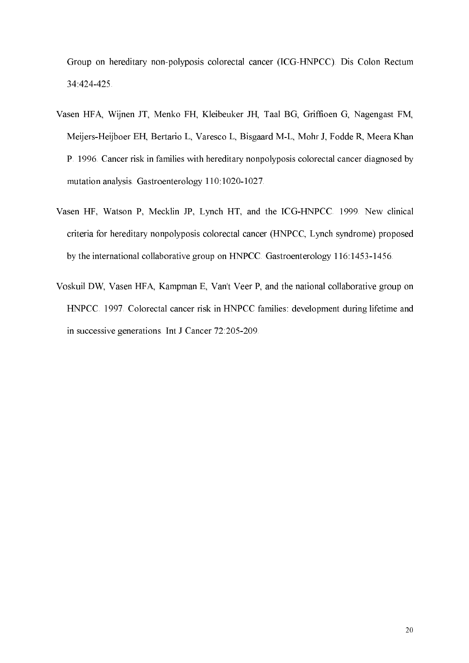Group on hereditary non-polyposis colorectal cancer (ICG-HNPCC). Dis Colon Rectum 34:424-425.

- Vasen HFA, Wijnen JT, Menko FH, Kleibeuker JH, Taal BG, Griffioen G, Nagengast FM, Meijers-Heijboer EH, Bertario L, Varesco L, Bisgaard M-L, Mohr J, Fodde R, Meera Khan P. 1996. Cancer risk in families with hereditary nonpolyposis colorectal cancer diagnosed by mutation analysis. Gastroenterology 110:1020-1027.
- Vasen HF, Watson P, Mecklin JP, Lynch HT, and the ICG-HNPCC. 1999. New clinical criteria for hereditary nonpolyposis colorectal cancer (HNPCC, Lynch syndrome) proposed by the international collaborative group on HNPCC. Gastroenterology 116:1453-1456.
- Voskuil DW, Vasen HFA, Kampman E, Van't Veer P, and the national collaborative group on HNPCC. 1997. Colorectal cancer risk in HNPCC families: development during lifetime and in successive generations. Int J Cancer 72:205-209.